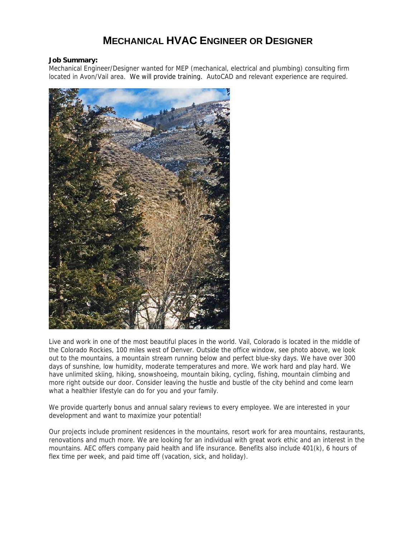## **MECHANICAL HVAC ENGINEER OR DESIGNER**

## **Job Summary:**

Mechanical Engineer/Designer wanted for MEP (mechanical, electrical and plumbing) consulting firm located in Avon/Vail area. We will provide training. AutoCAD and relevant experience are required.



Live and work in one of the most beautiful places in the world. Vail, Colorado is located in the middle of the Colorado Rockies, 100 miles west of Denver. Outside the office window, see photo above, we look out to the mountains, a mountain stream running below and perfect blue-sky days. We have over 300 days of sunshine, low humidity, moderate temperatures and more. We work hard and play hard. We have unlimited skiing, hiking, snowshoeing, mountain biking, cycling, fishing, mountain climbing and more right outside our door. Consider leaving the hustle and bustle of the city behind and come learn what a healthier lifestyle can do for you and your family.

We provide quarterly bonus and annual salary reviews to every employee. We are interested in your development and want to maximize your potential!

Our projects include prominent residences in the mountains, resort work for area mountains, restaurants, renovations and much more. We are looking for an individual with great work ethic and an interest in the mountains. AEC offers company paid health and life insurance. Benefits also include 401(k), 6 hours of flex time per week, and paid time off (vacation, sick, and holiday).